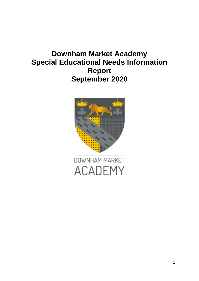# **Downham Market Academy Special Educational Needs Information Report September 2020**

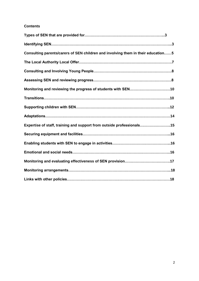## **Contents**

| Consulting parents/carers of SEN children and involving them in their education5 |  |
|----------------------------------------------------------------------------------|--|
|                                                                                  |  |
|                                                                                  |  |
|                                                                                  |  |
|                                                                                  |  |
|                                                                                  |  |
|                                                                                  |  |
|                                                                                  |  |
| Expertise of staff, training and support from outside professionals15            |  |
|                                                                                  |  |
|                                                                                  |  |
|                                                                                  |  |
|                                                                                  |  |
|                                                                                  |  |
|                                                                                  |  |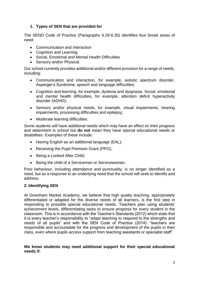## **1. Types of SEN that are provided for**

The SEND Code of Practice (Paragraphs 6.28-6.35) identifies four broad areas of need:

- Communication and Interaction
- Cognition and Learning
- Social, Emotional and Mental Health Difficulties
- Sensory and/or Physical

Our school currently provides additional and/or different provision for a range of needs, including:

- Communication and interaction, for example, autistic spectrum disorder, Asperger's Syndrome, speech and language difficulties;
- Cognition and learning, for example, dyslexia and dyspraxia. Social, emotional and mental health difficulties, for example, attention deficit hyperactivity disorder (ADHD);
- Sensory and/or physical needs, for example, visual impairments, hearing impairments, processing difficulties and epilepsy;
- Moderate learning difficulties.

Some students will have additional needs which may have an effect on their progress and attainment in school but **do not** mean they have special educational needs or disabilities. Examples of these include:

- Having English as an additional language (EAL);
- Receiving the Pupil Premium Grant (PPG);
- Being a Looked After Child;
- Being the child of a Serviceman or Servicewoman.

Poor behaviour, including attendance and punctuality, is no longer identified as a need, but as a response to an underlying need that the school will seek to identify and address.

## **2. Identifying SEN**

At Downham Market Academy, we believe that high quality teaching, appropriately differentiated or adapted for the diverse needs of all learners, is the first step in responding to possible special educational needs. Teachers plan using students' achievement levels, differentiating tasks to ensure progress for every student in the classroom. This is in accordance with the Teacher's Standards (2012) which state that it is every teacher's responsibility to "adapt teaching to respond to the strengths and needs of all pupils" and with the SEN Code of Practice (2014): "teachers are responsible and accountable for the progress and development of the pupils in their class, even where pupils access support from teaching assistants or specialist staff".

**We know students may need additional support for their special educational needs if:**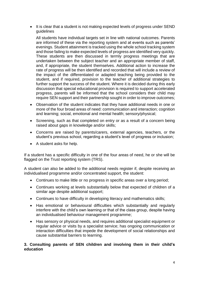• It is clear that a student is not making expected levels of progress under SEND guidelines

All students have individual targets set in line with national outcomes. Parents are informed of these via the reporting system and at events such as parents' evenings. Student attainment is tracked using the whole school tracking system and those failing to make expected levels of progress are identified very quickly. These students are then discussed in termly progress meetings that are undertaken between the subject teacher and an appropriate member of staff, and, if appropriate, the student themselves. Additional action to increase the rate of progress will be then identified and recorded that will include a review of the impact of the differentiated or adapted teaching being provided to the student, and if required, provision to the teacher of additional strategies to further support the success of the student. Where it is decided during this early discussion that special educational provision is required to support accelerated progress, parents will be informed that the school considers their child may require SEN support and their partnership sought in order to improve outcomes;

- Observation of the student indicates that they have additional needs in one or more of the four broad areas of need: communication and interaction; cognition and learning; social, emotional and mental health; sensory/physical;
- Screening, such as that completed on entry or as a result of a concern being raised about gaps in knowledge and/or skills;
- Concerns are raised by parents/carers, external agencies, teachers, or the student's previous school, regarding a student's level of progress or inclusion;
- A student asks for help.

If a student has a specific difficulty in one of the four areas of need, he or she will be flagged on the Trust reporting system (TRS).

A student can also be added to the additional needs register if, despite receiving an individualised programme and/or concentrated support, the student:

- Continues to make little or no progress in specific areas over a long period;
- Continues working at levels substantially below that expected of children of a similar age despite additional support;
- Continues to have difficulty in developing literacy and mathematics skills;
- Has emotional or behavioural difficulties which substantially and regularly interfere with the child's own learning or that of the class group, despite having an individualised behaviour management programme;
- Has sensory or physical needs, and requires additional specialist equipment or regular advice or visits by a specialist service; has ongoing communication or interaction difficulties that impede the development of social relationships and cause substantial barriers to learning.

#### **3. Consulting parents of SEN children and involving them in their child's education**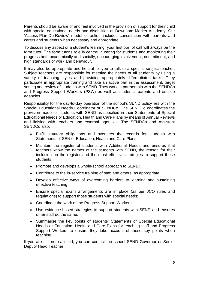Parents should be aware of and feel involved in the provision of support for their child with special educational needs and disabilities at Downham Market Academy. Our 'Assess-Plan-Do-Review' model of action includes consultation with parents and carers and students when necessary and appropriate.

To discuss any aspect of a student's learning, your first port of call will always be the form tutor. The form tutor's role is central in caring for students and monitoring their progress both academically and socially, encouraging involvement, commitment, and high standards of work and behaviour.

It may also be appropriate and helpful for you to talk to a specific subject teacher. Subject teachers are responsible for meeting the needs of all students by using a variety of teaching styles and providing appropriately differentiated tasks. They participate in appropriate training and take an active part in the assessment, target setting and review of students with SEND. They work in partnership with the SENDCo and Progress Support Workers (PSW) as well as students, parents and outside agencies.

Responsibility for the day-to-day operation of the school's SEND policy lies with the Special Educational Needs Coordinator or SENDCo. The SENDCo coordinates the provision made for students with SEND as specified in their Statements of Special Educational Needs or Education, Health and Care Plans by means of Annual Reviews and liaising with teachers and external agencies. The SENDCo and Assistant SENDC<sub>o</sub> also:

- Fulfil statutory obligations and oversees the records for students with Statements of SEN or Education, Health and Care Plans;
- Maintain the register of students with Additional Needs and ensures that teachers know the names of the students with SEND, the reason for their inclusion on the register and the most effective strategies to support those students;
- Promote and develops a whole-school approach to SEND;
- Contribute to the in-service training of staff and others, as appropriate;
- Develop effective ways of overcoming barriers to learning and sustaining effective teaching;
- Ensure special exam arrangements are in place (as per JCQ rules and regulations) to support those students with special needs;
- Coordinate the work of the Progress Support Workers;
- Use evidence-based strategies to support students with SEND and ensures other staff do the same;
- Summarise the key points of students' Statements of Special Educational Needs or Education, Health and Care Plans for teaching staff and Progress Support Workers to ensure they take account of those key points when teaching.

If you are still not satisfied, you can contact the school SEND Governor or Senior Deputy Head Teacher.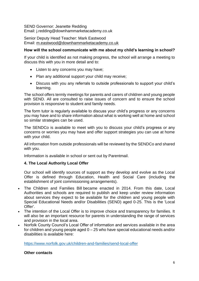#### SEND Governor: Jeanette Redding

Email: j.redding@downhammarketacademy.co.uk

Senior Deputy Head Teacher: Mark Eastwood Email: [m.eastwood@downhammarketacademy.co.uk](mailto:m.eastwood@downhammarketacademy.co.uk)

### **How will the school communicate with me about my child's learning in school?**

If your child is identified as not making progress, the school will arrange a meeting to discuss this with you in more detail and to:

- Listen to any concerns you may have;
- Plan any additional support your child may receive;
- Discuss with you any referrals to outside professionals to support your child's learning.

The school offers termly meetings for parents and carers of children and young people with SEND. All are consulted to raise issues of concern and to ensure the school provision is responsive to student and family needs.

The form tutor is regularly available to discuss your child's progress or any concerns you may have and to share information about what is working well at home and school so similar strategies can be used.

The SENDCo is available to meet with you to discuss your child's progress or any concerns or worries you may have and offer support strategies you can use at home with your child.

All information from outside professionals will be reviewed by the SENDCo and shared with you.

Information is available in school or sent out by Parentmail.

## **4. The Local Authority Local Offer**

Our school will identify sources of support as they develop and evolve as the Local Offer is defined through Education, Health and Social Care (including the establishment of joint commissioning arrangements).

- The Children and Families Bill became enacted in 2014. From this date, Local Authorities and schools are required to publish and keep under review information about services they expect to be available for the children and young people with Special Educational Needs and/or Disabilities (SEND) aged 0-25. This is the 'Local Offer'.
- The intention of the Local Offer is to improve choice and transparency for families. It will also be an important resource for parents in understanding the range of services and provision in the local area.
- Norfolk County Council's Local Offer of information and services available in the area for children and young people aged  $0 - 25$  who have special educational needs and/or disabilities is available here:

<https://www.norfolk.gov.uk/children-and-families/send-local-offer>

#### **Other contacts**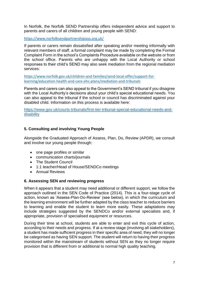In Norfolk, the Norfolk SEND Partnership offers independent advice and support to parents and carers of all children and young people with SEND:

<https://www.norfolksendpartnershipiass.org.uk/>

If parents or carers remain dissatisfied after speaking and/or meeting informally with relevant members of staff, a formal complaint may be made by completing the Formal Complaint Form in the school's Complaints Procedure available on the website or from the school office. Parents who are unhappy with the Local Authority or school responses to their child's SEND may also seek mediation from the regional mediation services:

[https://www.norfolk.gov.uk/children-and-families/send-local-offer/support-for](https://www.norfolk.gov.uk/children-and-families/send-local-offer/support-for-learning/education-health-and-care-ehc-plans/mediation-and-tribunals)[learning/education-health-and-care-ehc-plans/mediation-and-tribunals](https://www.norfolk.gov.uk/children-and-families/send-local-offer/support-for-learning/education-health-and-care-ehc-plans/mediation-and-tribunals)

Parents and carers can also appeal to the Government's SEND tribunal if you disagree with the Local Authority's decisions about your child's special educational needs. You can also appeal to the tribunal if the school or council has discriminated against your disabled child. Information on this process is available here:

[https://www.gov.uk/courts-tribunals/first-tier-tribunal-special-educational-needs-and](https://www.gov.uk/courts-tribunals/first-tier-tribunal-special-educational-needs-and-disability)[disability](https://www.gov.uk/courts-tribunals/first-tier-tribunal-special-educational-needs-and-disability)

## **5. Consulting and involving Young People**

Alongside the Graduated Approach of Assess, Plan, Do, Review (APDR), we consult and involve our young people through:

- one page profiles or similar
- communication charts/journals
- The Student Council
- 1:1 teacher/Head of House/SENDCo meetings
- Annual Reviews

#### **6. Assessing SEN and reviewing progress**

When it appears that a student may need additional or different support, we follow the approach outlined in the SEN Code of Practice (2014). This is a four-stage cycle of action, known as 'Assess-Plan-Do-Review' (see below), in which the curriculum and the learning environment will be further adapted by the class teacher to reduce barriers to learning and enable the student to learn more easily. These adaptations may include strategies suggested by the SENDCo and/or external specialists and, if appropriate, provision of specialised equipment or resources.

During their time at school, students are able to enter and exit this cycle of action, according to their needs and progress. If at a review stage (involving all stakeholders), a student has made sufficient progress in their specific area of need, they will no longer be categorised as having SEN support. The student will return to having their progress monitored within the mainstream of students without SEN as they no longer require provision that is different from or additional to normal high quality teaching.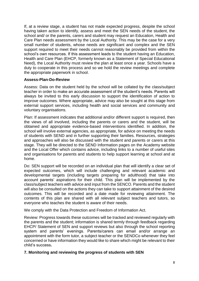If, at a review stage, a student has not made expected progress, despite the school having taken action to identify, assess and meet the SEN needs of the student, the school and/ or the parents, carers and student may request an Education, Health and Care Plan needs assessment by the Local Authority. This may be the case for a very small number of students, whose needs are significant and complex and the SEN support required to meet their needs cannot reasonably be provided from within the school's own resources. If this assessment leads to the student having an Education, Health and Care Plan (EHCP, formerly known as a Statement of Special Educational Need), the Local Authority must review the plan at least once a year. Schools have a duty to cooperate in this process and so we hold the review meetings and complete the appropriate paperwork in school.

### **Assess-Plan-Do-Review**

Assess: Data on the student held by the school will be collated by the class/subject teacher in order to make an accurate assessment of the student's needs. Parents will always be invited to this early discussion to support the identification of action to improve outcomes. Where appropriate, advice may also be sought at this stage from external support services, including health and social services and community and voluntary organisations.

Plan: If assessment indicates that additional and/or different support is required, then the views of all involved, including the parents or carers and the student, will be obtained and appropriate evidence-based interventions identified. In addition, the school will involve external agencies, as appropriate, for advice on meeting the needs of students with SEND and in further supporting their families. Resources, strategies and approaches will also be discussed with the student and parents or carers at this stage. They will be directed to the SEND Information pages on the Academy website and the Local Offer which contains advice, including links to a number of useful sites and organisations for parents and students to help support learning at school and at home.

Do: SEN support will be recorded on an individual plan that will identify a clear set of expected outcomes, which will include challenging and relevant academic and developmental targets (including targets preparing for adulthood) that take into account parents' aspirations for their child. This plan will be implemented by the class/subject teachers with advice and input from the SENCO. Parents and the student will also be consulted on the actions they can take to support attainment of the desired outcomes. This will be recorded and a date made for reviewing attainment. The contents of this plan are shared with all relevant subject teachers and tutors, so everyone who teaches the student is aware of their needs.

We comply with the Data Protection and Freedom of Information Act.

Review: Progress towards these outcomes will be tracked and reviewed regularly with the parents and the student; information is shared termly through feedback regarding EHCP/ Statement of SEN and support reviews but also through the school reporting system and parents' evenings. Parents/carers can email and/or arrange an appointment with the form tutor, a subject teacher or the SENDCo whenever they feel concerned or have information they would like to share which might be relevant to their child's success**.**

## **7. Monitoring and reviewing the progress of students with SEN**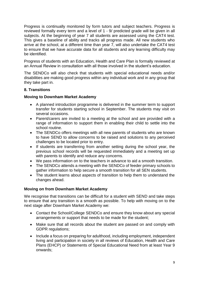Progress is continually monitored by form tutors and subject teachers. Progress is reviewed formally every term and a level of 1 - 9/ predicted grade will be given in all subjects. At the beginning of year 7 all students are assessed using the CAT4 test. This gives a baseline of ability and tracks all progress made. All new students who arrive at the school, at a different time than year 7, will also undertake the CAT4 test to ensure that we have accurate data for all students and any learning difficulty may be identified.

Progress of students with an Education, Health and Care Plan is formally reviewed at an Annual Review in consultation with all those involved in the student's education.

The SENDCo will also check that students with special educational needs and/or disabilities are making good progress within any individual work and in any group that they take part in.

## **8. Transitions**

#### **Moving to Downham Market Academy**

- A planned introduction programme is delivered in the summer term to support transfer for students starting school in September. The students may visit on several occasions.
- Parent/carers are invited to a meeting at the school and are provided with a range of information to support them in enabling their child to settle into the school routine.
- The SENDCo offers meetings with all new parents of students who are known to have SEND to allow concerns to be raised and solutions to any perceived challenges to be located prior to entry.
- If students are transferring from another setting during the school year, the previous school records will be requested immediately and a meeting set up with parents to identify and reduce any concerns.
- We pass information on to the teachers in advance to aid a smooth transition.
- The SENDCo attends a meeting with the SENDCo of feeder primary schools to gather information to help secure a smooth transition for all SEN students.
- The student learns about aspects of transition to help them to understand the changes ahead.

#### **Moving on from Downham Market Academy**

We recognise that transitions can be difficult for a student with SEND and take steps to ensure that any transition is a smooth as possible. To help with moving on to the next stage after Downham Market Academy we:

- Contact the School/College SENDCo and ensure they know about any special arrangements or support that needs to be made for the student;
- Make sure that all records about the student are passed on and comply with GDPR regulations;
- Include a focus on preparing for adulthood, including employment, independent living and participation in society in all reviews of Education, Health and Care Plans (EHCP) or Statements of Special Educational Need from at least Year 9 onwards;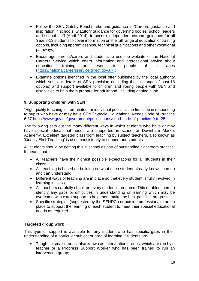- Follow the SEN Gatsby Benchmarks and guidance in 'Careers guidance and inspiration in schools: Statutory guidance for governing bodies, school leaders and school staff (April 2014)' to secure independent careers guidance for all Year 8-13 students to cover information on the full range of education or training options, including apprenticeships, technical qualifications and other vocational pathways;
- Encourage parents/carers and students to use the website of the National Careers Service which offers information and professional advice about education, training and work to people of all ages [\(https://nationalcareersservice.direct.gov.uk\)](https://nationalcareersservice.direct.gov.uk/);
- Examine options identified in the local offer published by the local authority which sets out details of SEN provision (including the full range of post-16 options) and support available to children and young people with SEN and disabilities to help them prepare for adulthood, including getting a job.

## **9. Supporting children with SEN**

"High quality teaching, differentiated for individual pupils, is the first step in responding to pupils who have or may have SEN." Special Educational Needs Code of Practice 6.37 [https://www.gov.uk/government/publications/send-code-of-practice-0-to-25.](https://www.gov.uk/government/publications/send-code-of-practice-0-to-25)

The following sets out the many different ways in which students who have or may have special educational needs are supported in school at Downham Market Academy. Excellent targeted classroom teaching by subject teachers, also known as 'Quality First Teaching' is used consistently to support our students.

All students should be getting this in school as part of outstanding classroom practice. It means that:

- All teachers have the highest possible expectations for all students in their class;
- All teaching is based on building on what each student already knows, can do and can understand;
- Different ways of teaching are in place so that every student is fully involved in learning in class;
- All teachers carefully check on every student's progress. This enables them to identify any gaps or difficulties in understanding or learning which may be overcome with extra support to help them make the best possible progress;
- Specific strategies (suggested by the SENDCo or outside professionals) are in place to support the learning of each student to meet their special educational needs as required.

## **Targeted group work**

This type of support is available for any student who has specific gaps in their understanding of a particular subject or area of learning. Students are:

 Taught in small groups, also known as Intervention groups, which are run by a teacher or a Progress Support Worker who has been trained to run an intervention group;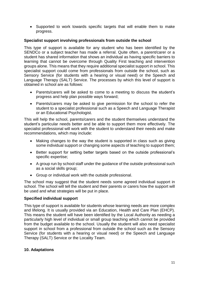Supported to work towards specific targets that will enable them to make progress.

### **Specialist support involving professionals from outside the school**

This type of support is available for any student who has been identified by the SENDCo or a subject teacher has made a referral. Quite often, a parent/carer or a student has shared information that shows an individual as having specific barriers to learning that cannot be overcome through Quality First teaching and intervention groups alone. This means that they require additional specialist support in school. This specialist support could come from professionals from outside the school, such as Sensory Service (for students with a hearing or visual need) or the Speech and Language Therapy (SALT) Service. The processes by which this level of support is obtained in school are as follows:

- Parents/carers will be asked to come to a meeting to discuss the student's progress and help plan possible ways forward;
- Parents/carers may be asked to give permission for the school to refer the student to a specialist professional such as a Speech and Language Therapist or an Educational Psychologist.

This will help the school, parents/carers and the student themselves understand the student's particular needs better and be able to support them more effectively. The specialist professional will work with the student to understand their needs and make recommendations, which may include:

- Making changes to the way the student is supported in class such as giving some individual support or changing some aspects of teaching to support them;
- Better support for setting better targets based on the outside professional's specific expertise;
- A group run by school staff under the guidance of the outside professional such as a social skills group;
- Group or individual work with the outside professional.

The school may suggest that the student needs some agreed individual support in school. The school will tell the student and their parents or carers how the support will be used and what strategies will be put in place.

## **Specified individual support**

This type of support is available for students whose learning needs are more complex and lifelong. It is usually provided via an Education, Health and Care Plan (EHCP). This means the student will have been identified by the Local Authority as needing a particularly high level of individual or small group teaching which cannot be provided from the budget available to the school. Usually the student will also need specialist support in school from a professional from outside the school such as the Sensory Service (for students with a hearing or visual need) or the Speech and Language Therapy (SALT) Service or the Locality Team.

#### **10. Adaptations**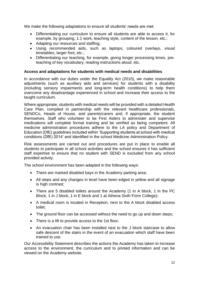We make the following adaptations to ensure all students' needs are met:

- Differentiating our curriculum to ensure all students are able to access it, for example, by grouping, 1:1 work, teaching style, content of the lesson, etc.:
- Adapting our resources and staffing;
- Using recommended aids, such as laptops, coloured overlays, visual timetables, larger font, etc.;
- Differentiating our teaching, for example, giving longer processing times, preteaching of key vocabulary, reading instructions aloud, etc.

### **Access and adaptations for students with medical needs and disabilities**

In accordance with our duties under the Equality Act (2010), we make reasonable adjustments (such as auxiliary aids and services) for students with a disability (including sensory impairments and long-term health conditions) to help them overcome any disadvantage experienced in school and increase their access to the taught curriculum.

Where appropriate, students with medical needs will be provided with a detailed Health Care Plan, compiled in partnership with the relevant healthcare professionals, SENDCo, Heads of House, and parents/carers and, if appropriate, the student themselves. Staff who volunteer to be First Aiders to administer and supervise medications will complete formal training and be verified as being competent. All medicine administration procedures adhere to the LA policy and Department of Education (DfE) guidelines included within 'Supporting students at school with medical conditions (DfE) 2014' and identified in the school Medicine Administration Policy.

Risk assessments are carried out and procedures are put in place to enable all students to participate in all school activities and the school ensures it has sufficient staff expertise to ensure that no student with SEND is excluded from any school provided activity.

The school environment has been adapted in the following ways:

- There are marked disabled bays in the Academy parking area;
- All steps and any changes in level have been edged in yellow and all signage is high contrast;
- There are 5 disabled toilets around the Academy (1 in A block, 1 in the PC Block, 1 in J block, 1 in E block and 1 at Athena Sixth Form College);
- A medical room is located in Reception, next to the A block disabled access toilet;
- The ground floor can be accessed without the need to go up and down steps;
- There is a lift to provide access to the 1st floor,
- An evacuation chair has been installed next to the J block staircase to allow safe descent of the stairs in the event of an evacuation which staff have been trained to use.

Our Accessibility Statement describes the actions the Academy has taken to increase access to the environment, the curriculum and to printed information and can be viewed on the Academy website.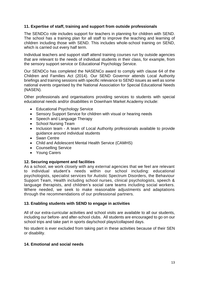## **11. Expertise of staff, training and support from outside professionals**

The SENDCo role includes support for teachers in planning for children with SEND. The school has a training plan for all staff to improve the teaching and learning of children including those with SEND. This includes whole-school training on SEND, which is carried out every half term.

Individual teachers and support staff attend training courses run by outside agencies that are relevant to the needs of individual students in their class, for example, from the sensory support service or Educational Psychology Service.

Our SENDCo has completed the NASENCo award to comply with clause 64 of the Children and Families Act (2014). Our SEND Governor attends Local Authority briefings and training sessions with specific relevance to SEND issues as well as some national events organised by the National Association for Special Educational Needs (NASEN).

Other professionals and organisations providing services to students with special educational needs and/or disabilities in Downham Market Academy include:

- Educational Psychology Service
- Sensory Support Service for children with visual or hearing needs
- Speech and Language Therapy
- School Nursing Team
- Inclusion team A team of Local Authority professionals available to provide guidance around individual students
- Swan Centre
- Child and Adolescent Mental Health Service (CAMHS)
- Counselling Service
- Young Carers

## **12. Securing equipment and facilities**

As a school, we work closely with any external agencies that we feel are relevant to individual student's needs within our school including: educational psychologists, specialist services for Autistic Spectrum Disorders, the Behaviour Support Team, Health including school nurses, clinical psychologists, speech & language therapists, and children's social care teams including social workers. Where needed, we seek to make reasonable adjustments and adaptations through the recommendations of our professional partners.

#### **13. Enabling students with SEND to engage in activities**

All of our extra-curricular activities and school visits are available to all our students, including our before- and after-school clubs. All students are encouraged to go on our school trips and take part in sports day/school plays/collapsed days.

No student is ever excluded from taking part in these activities because of their SEN or disability.

#### **14. Emotional and social needs**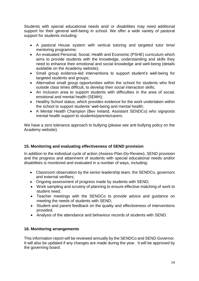Students with special educational needs and/ or disabilities may need additional support for their general well-being in school. We offer a wide variety of pastoral support for students including:

- A pastoral House system with vertical tutoring and targeted tutor time/ mentoring programme;
- An evaluated Personal, Social, Health and Economic (PSHE) curriculum which aims to provide students with the knowledge, understanding and skills they need to enhance their emotional and social knowledge and well-being (details available on the Academy website);
- Small group evidence-led interventions to support student's well-being for targeted students and groups;
- Alternative small group opportunities within the school for students who find outside class times difficult, to develop their social interaction skills;
- An inclusion area to support students with difficulties in the area of social, emotional and mental health (SEMH);
- Healthy School status, which provides evidence for the work undertaken within the school to support students' well-being and mental health;
- A Mental Health Champion (Bev Ireland, Assistant SENDCo) who signposts mental health support to students/parents/carers.

We have a zero tolerance approach to bullying (please see anti bullying policy on the Academy website).

# **15. Monitoring and evaluating effectiveness of SEND provision**

In addition to the individual cycle of action (Assess-Plan-Do-Review), SEND provision and the progress and attainment of students with special educational needs and/or disabilities is monitored and evaluated in a number of ways, including:

- Classroom observation by the senior leadership team, the SENDCo, governors and external verifiers;
- Ongoing assessment of progress made by students with SEND;
- Work sampling and scrutiny of planning to ensure effective matching of work to student need;
- Teacher meetings with the SENDCo to provide advice and guidance on meeting the needs of students with SEND;
- Student and parent feedback on the quality and effectiveness of interventions provided;
- Analysis of the attendance and behaviour records of students with SEND.

# **16. Monitoring arrangements**

This information report will be reviewed annually by the SENDCo and SEND Governor. It will also be updated if any changes are made during the year. It will be approved by the governing board.